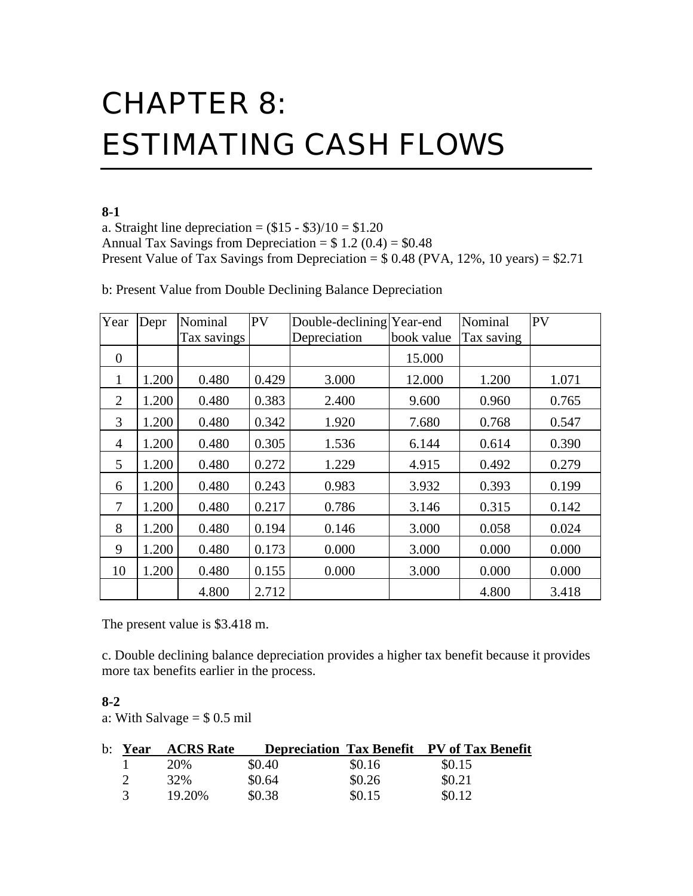# CHAPTER 8: ESTIMATING CASH FLOWS

## **8-1**

a. Straight line depreciation =  $(\$15 - \$3)/10 = \$1.20$ Annual Tax Savings from Depreciation =  $$ 1.2 (0.4) = $0.48$ Present Value of Tax Savings from Depreciation =  $$0.48$  (PVA, 12%, 10 years) =  $$2.71$ 

| Year           | Depr  | Nominal     | PV    | Double-declining Year-end |            | Nominal    | PV    |
|----------------|-------|-------------|-------|---------------------------|------------|------------|-------|
|                |       | Tax savings |       | Depreciation              | book value | Tax saving |       |
| $\Omega$       |       |             |       |                           | 15.000     |            |       |
| 1              | 1.200 | 0.480       | 0.429 | 3.000                     | 12.000     | 1.200      | 1.071 |
| 2              | 1.200 | 0.480       | 0.383 | 2.400                     | 9.600      | 0.960      | 0.765 |
| 3              | 1.200 | 0.480       | 0.342 | 1.920                     | 7.680      | 0.768      | 0.547 |
| $\overline{4}$ | 1.200 | 0.480       | 0.305 | 1.536                     | 6.144      | 0.614      | 0.390 |
| 5              | 1.200 | 0.480       | 0.272 | 1.229                     | 4.915      | 0.492      | 0.279 |
| 6              | 1.200 | 0.480       | 0.243 | 0.983                     | 3.932      | 0.393      | 0.199 |
| 7              | 1.200 | 0.480       | 0.217 | 0.786                     | 3.146      | 0.315      | 0.142 |
| 8              | 1.200 | 0.480       | 0.194 | 0.146                     | 3.000      | 0.058      | 0.024 |
| 9              | 1.200 | 0.480       | 0.173 | 0.000                     | 3.000      | 0.000      | 0.000 |
| 10             | 1.200 | 0.480       | 0.155 | 0.000                     | 3.000      | 0.000      | 0.000 |
|                |       | 4.800       | 2.712 |                           |            | 4.800      | 3.418 |

b: Present Value from Double Declining Balance Depreciation

The present value is \$3.418 m.

c. Double declining balance depreciation provides a higher tax benefit because it provides more tax benefits earlier in the process.

### **8-2**

a: With Salvage  $= $ 0.5$  mil

| b: Year | <b>ACRS</b> Rate |        |        | <b>Depreciation Tax Benefit PV of Tax Benefit</b> |
|---------|------------------|--------|--------|---------------------------------------------------|
|         | 20\%             | \$0.40 | \$0.16 | \$0.15                                            |
|         | 32%              | \$0.64 | \$0.26 | \$0.21                                            |
|         | 19.20%           | \$0.38 | \$0.15 | \$0.12                                            |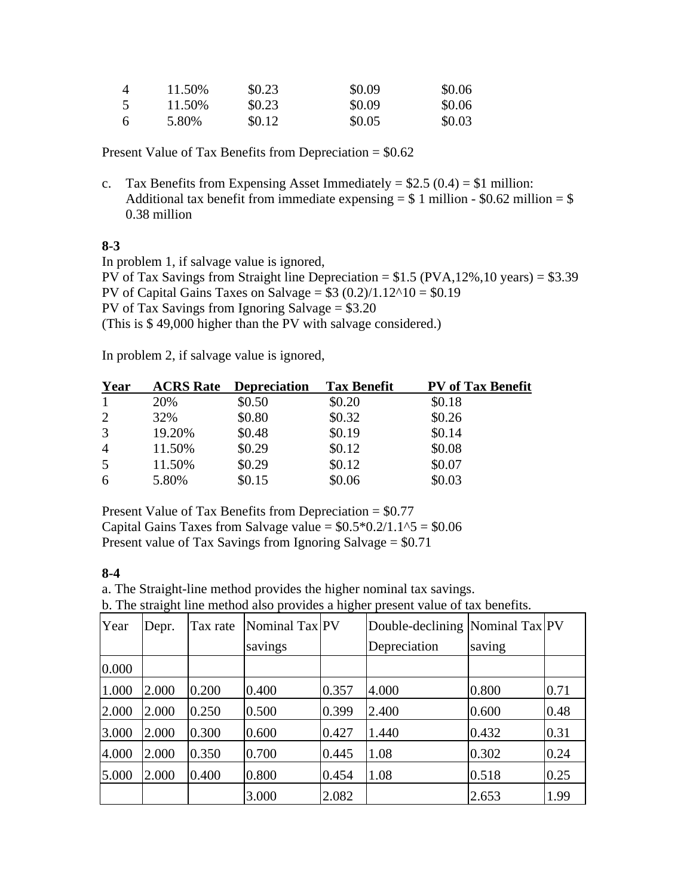| $\boldsymbol{\vartriangle}$ | 11.50% | \$0.23 | \$0.09 | \$0.06 |
|-----------------------------|--------|--------|--------|--------|
|                             | 11.50% | \$0.23 | \$0.09 | \$0.06 |
| <b>6</b>                    | 5.80%  | \$0.12 | \$0.05 | \$0.03 |

Present Value of Tax Benefits from Depreciation = \$0.62

c. Tax Benefits from Expensing Asset Immediately =  $$2.5 (0.4) = $1$  million: Additional tax benefit from immediate expensing  $= $ 1$  million - \$0.62 million  $= $$ 0.38 million

## **8-3**

In problem 1, if salvage value is ignored,

PV of Tax Savings from Straight line Depreciation =  $$1.5 (PVA, 12\%, 10 \text{ years}) = $3.39$ PV of Capital Gains Taxes on Salvage =  $$3 (0.2)/1.12^10 = $0.19$ PV of Tax Savings from Ignoring Salvage  $= $3.20$ (This is \$ 49,000 higher than the PV with salvage considered.)

In problem 2, if salvage value is ignored,

| Year           | <b>ACRS</b> Rate | <b>Depreciation</b> | Tax Benefit | <b>PV</b> of Tax Benefit |
|----------------|------------------|---------------------|-------------|--------------------------|
| 1              | 20%              | \$0.50              | \$0.20      | \$0.18                   |
| 2              | 32%              | \$0.80              | \$0.32      | \$0.26                   |
| 3              | 19.20%           | \$0.48              | \$0.19      | \$0.14                   |
| $\overline{4}$ | 11.50%           | \$0.29              | \$0.12      | \$0.08                   |
| 5              | 11.50%           | \$0.29              | \$0.12      | \$0.07                   |
| 6              | 5.80%            | \$0.15              | \$0.06      | \$0.03                   |
|                |                  |                     |             |                          |

Present Value of Tax Benefits from Depreciation = \$0.77 Capital Gains Taxes from Salvage value =  $$0.5*0.2/1.1^5 = $0.06$ Present value of Tax Savings from Ignoring Salvage  $= $0.71$ 

### **8-4**

a. The Straight-line method provides the higher nominal tax savings.

b. The straight line method also provides a higher present value of tax benefits.

| Year  | Depr. | Tax rate | Nominal Tax PV |       | Double-declining Nominal Tax PV |        |      |
|-------|-------|----------|----------------|-------|---------------------------------|--------|------|
|       |       |          | savings        |       | Depreciation                    | saving |      |
| 0.000 |       |          |                |       |                                 |        |      |
| 1.000 | 2.000 | 0.200    | 0.400          | 0.357 | 4.000                           | 0.800  | 0.71 |
| 2.000 | 2.000 | 0.250    | 0.500          | 0.399 | 2.400                           | 0.600  | 0.48 |
| 3.000 | 2.000 | 0.300    | 0.600          | 0.427 | 1.440                           | 0.432  | 0.31 |
| 4.000 | 2.000 | 0.350    | 0.700          | 0.445 | 1.08                            | 0.302  | 0.24 |
| 5.000 | 2.000 | 0.400    | 0.800          | 0.454 | 1.08                            | 0.518  | 0.25 |
|       |       |          | 3.000          | 2.082 |                                 | 2.653  | 1.99 |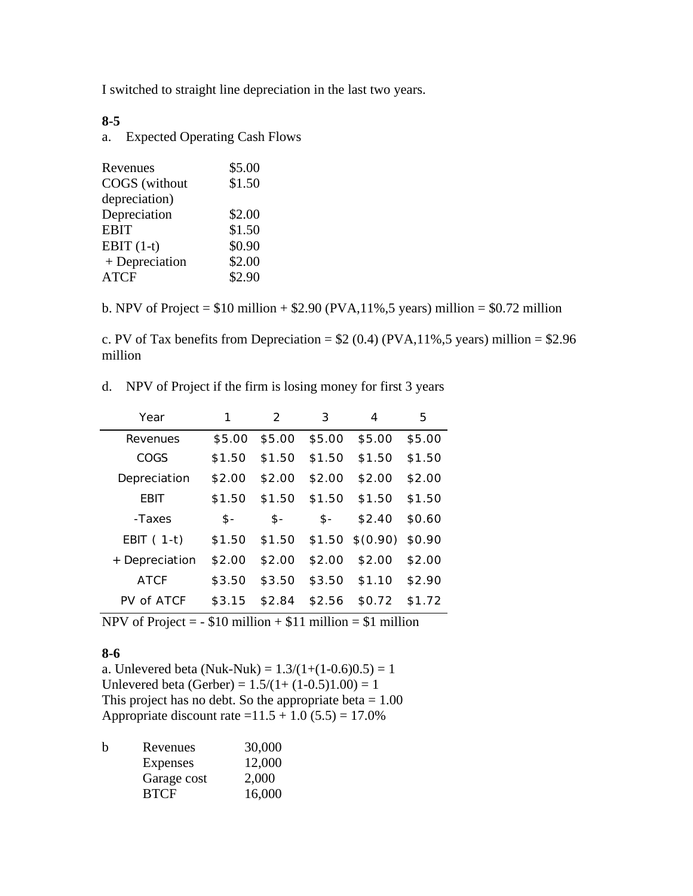I switched to straight line depreciation in the last two years.

### **8-5**

a. Expected Operating Cash Flows

| \$5.00 |
|--------|
| \$1.50 |
|        |
| \$2.00 |
| \$1.50 |
| \$0.90 |
| \$2.00 |
| \$2.90 |
|        |

b. NPV of Project =  $$10$  million +  $$2.90$  (PVA, 11%, 5 years) million =  $$0.72$  million

c. PV of Tax benefits from Depreciation =  $$2 (0.4) (PVA, 11%, 5 \text{ years})$  million =  $$2.96$ million

|  | d. NPV of Project if the firm is losing money for first 3 years |  |  |  |
|--|-----------------------------------------------------------------|--|--|--|
|  |                                                                 |  |  |  |

| Year           |        | 2      | 3             | 4                         | 5      |
|----------------|--------|--------|---------------|---------------------------|--------|
| Revenues       | \$5.00 |        | \$5.00 \$5.00 | \$5.00                    | \$5.00 |
| COGS           | \$1.50 | \$1.50 | \$1.50        | \$1.50                    | \$1.50 |
| Depreciation   | \$2.00 | \$2.00 | \$2.00        | \$2.00                    | \$2.00 |
| <b>EBIT</b>    | \$1.50 | \$1.50 | \$1.50        | \$1.50                    | \$1.50 |
|                |        |        |               |                           |        |
| -Taxes         | - \$   | \$-    | $$-$          | \$2.40                    | \$0.60 |
| EBIT $(1-t)$   | \$1.50 | \$1.50 |               | $$1.50 \t$(0.90) \t$0.90$ |        |
| + Depreciation | \$2.00 | \$2.00 | \$2.00        | \$2.00                    | \$2.00 |
| <b>ATCF</b>    | \$3.50 | \$3.50 | \$3.50        | \$1.10                    | \$2.90 |
| PV of ATCF     | \$3.15 | \$2.84 | \$2.56        | \$0.72                    | \$1.72 |

NPV of Project =  $-$  \$10 million + \$11 million = \$1 million

### **8-6**

a. Unlevered beta (Nuk-Nuk) =  $1.3/(1+(1-0.6)0.5) = 1$ Unlevered beta (Gerber) =  $1.5/(1+(1-0.5)1.00) = 1$ This project has no debt. So the appropriate beta  $= 1.00$ Appropriate discount rate =  $11.5 + 1.0 (5.5) = 17.0\%$ 

| b | Revenues    | 30,000 |
|---|-------------|--------|
|   | Expenses    | 12,000 |
|   | Garage cost | 2,000  |
|   | <b>BTCF</b> | 16,000 |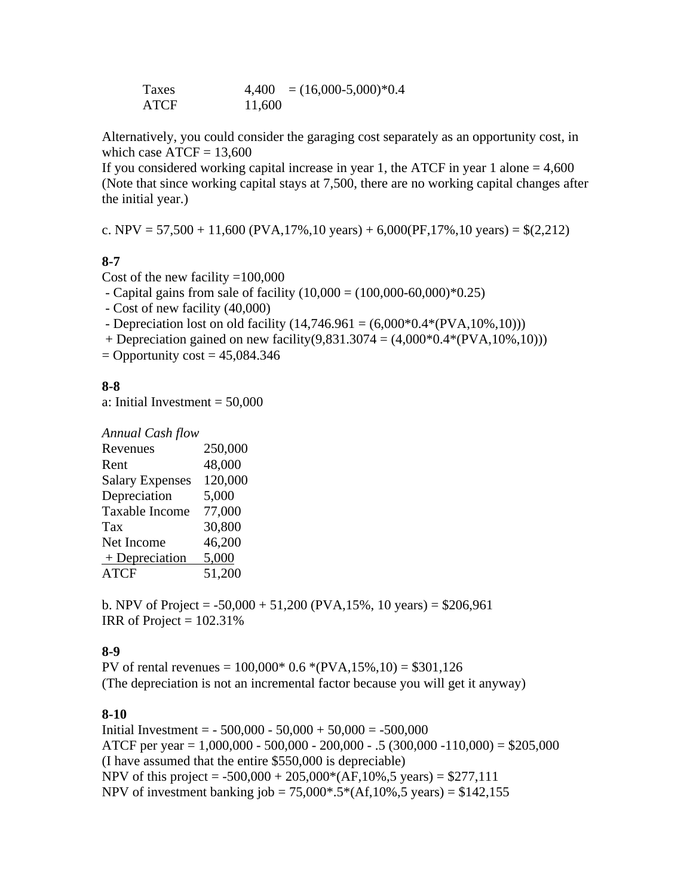Taxes  $4,400 = (16,000-5,000)^*0.4$ ATCF 11,600

Alternatively, you could consider the garaging cost separately as an opportunity cost, in which case  $ATCF = 13,600$ 

If you considered working capital increase in year 1, the ATCF in year 1 alone  $= 4,600$ (Note that since working capital stays at 7,500, there are no working capital changes after the initial year.)

c. NPV = 57,500 + 11,600 (PVA,17%,10 years) + 6,000(PF,17%,10 years) =  $$(2,212)$ 

## **8-7**

Cost of the new facility  $=100,000$ 

- Capital gains from sale of facility  $(10,000) = (100,000-60,000) *0.25$ 

- Cost of new facility (40,000)

- Depreciation lost on old facility  $(14,746.961 = (6,000*0.4*(PVA,10%,10)))$ 

+ Depreciation gained on new facility(9,831.3074 =  $(4,000*0.4*(PVA,10%,10)))$ )

 $=$  Opportunity cost  $= 45,084.346$ 

## **8-8**

a: Initial Investment  $= 50,000$ 

| <b>Annual Cash flow</b> |         |
|-------------------------|---------|
| Revenues                | 250,000 |
| Rent                    | 48,000  |
| <b>Salary Expenses</b>  | 120,000 |
| Depreciation            | 5,000   |
| Taxable Income          | 77,000  |
| Tax                     | 30,800  |
| Net Income              | 46,200  |
| $+$ Depreciation        | 5,000   |
| ATCF                    | 51,200  |

b. NPV of Project =  $-50,000 + 51,200$  (PVA, 15%, 10 years) = \$206,961 IRR of Project  $= 102.31\%$ 

## **8-9**

PV of rental revenues =  $100,000*$  0.6  $*(PVA, 15%, 10) = $301,126$ (The depreciation is not an incremental factor because you will get it anyway)

### **8-10**

Initial Investment =  $-500,000 - 50,000 + 50,000 = -500,000$ ATCF per year =  $1,000,000 - 500,000 - 200,000 - 0.5$  (300,000 - 110,000) = \$205,000 (I have assumed that the entire \$550,000 is depreciable) NPV of this project =  $-500,000 + 205,000*(AF,10%, 5 \text{ years}) = $277,111$ NPV of investment banking job =  $75,000^*$ .5 $*(Af,10\%, 5 \text{ years}) = $142,155$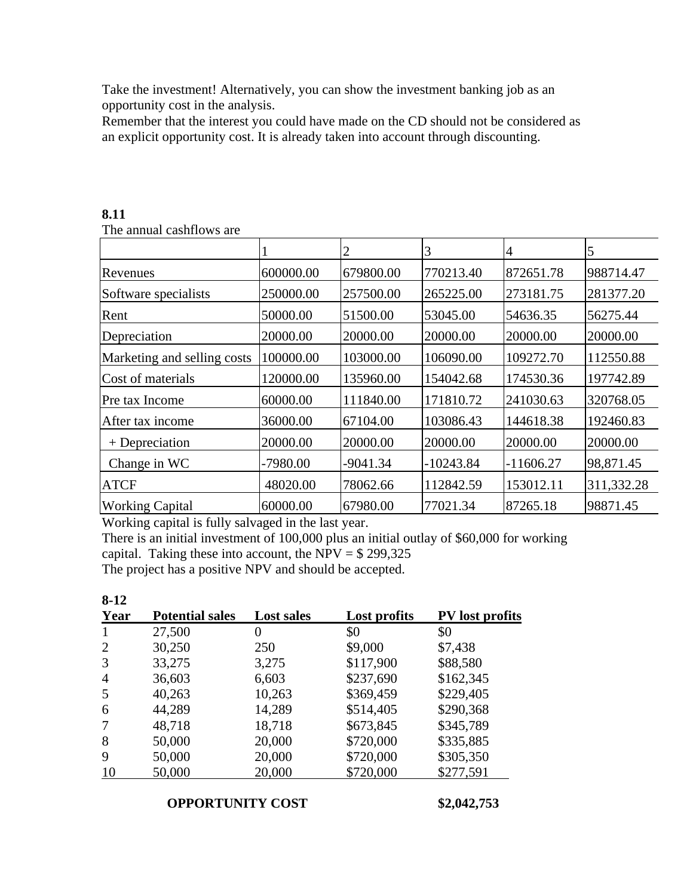Take the investment! Alternatively, you can show the investment banking job as an opportunity cost in the analysis.

Remember that the interest you could have made on the CD should not be considered as an explicit opportunity cost. It is already taken into account through discounting.

|                             |           | 2          | 3           | 4           | 5          |
|-----------------------------|-----------|------------|-------------|-------------|------------|
| Revenues                    | 600000.00 | 679800.00  | 770213.40   | 872651.78   | 988714.47  |
| Software specialists        | 250000.00 | 257500.00  | 265225.00   | 273181.75   | 281377.20  |
| Rent                        | 50000.00  | 51500.00   | 53045.00    | 54636.35    | 56275.44   |
| Depreciation                | 20000.00  | 20000.00   | 20000.00    | 20000.00    | 20000.00   |
| Marketing and selling costs | 100000.00 | 103000.00  | 106090.00   | 109272.70   | 112550.88  |
| Cost of materials           | 120000.00 | 135960.00  | 154042.68   | 174530.36   | 197742.89  |
| Pre tax Income              | 60000.00  | 111840.00  | 171810.72   | 241030.63   | 320768.05  |
| After tax income            | 36000.00  | 67104.00   | 103086.43   | 144618.38   | 192460.83  |
| $+$ Depreciation            | 20000.00  | 20000.00   | 20000.00    | 20000.00    | 20000.00   |
| Change in WC                | -7980.00  | $-9041.34$ | $-10243.84$ | $-11606.27$ | 98,871.45  |
| <b>ATCF</b>                 | 48020.00  | 78062.66   | 112842.59   | 153012.11   | 311,332.28 |
| <b>Working Capital</b>      | 60000.00  | 67980.00   | 77021.34    | 87265.18    | 98871.45   |

#### **8.11**

The annual cashflows are

Working capital is fully salvaged in the last year.

There is an initial investment of 100,000 plus an initial outlay of \$60,000 for working capital. Taking these into account, the NPV =  $$299,325$ 

The project has a positive NPV and should be accepted.

| $8-12$         |                        |                   |              |                        |
|----------------|------------------------|-------------------|--------------|------------------------|
| Year           | <b>Potential sales</b> | <b>Lost sales</b> | Lost profits | <b>PV</b> lost profits |
| 1              | 27,500                 | $\theta$          | \$0          | \$0                    |
| 2              | 30,250                 | 250               | \$9,000      | \$7,438                |
| 3              | 33,275                 | 3,275             | \$117,900    | \$88,580               |
| $\overline{4}$ | 36,603                 | 6,603             | \$237,690    | \$162,345              |
| 5              | 40,263                 | 10,263            | \$369,459    | \$229,405              |
| 6              | 44,289                 | 14,289            | \$514,405    | \$290,368              |
|                | 48,718                 | 18,718            | \$673,845    | \$345,789              |
| 8              | 50,000                 | 20,000            | \$720,000    | \$335,885              |
| 9              | 50,000                 | 20,000            | \$720,000    | \$305,350              |
| 10             | 50,000                 | 20,000            | \$720,000    | \$277,591              |

## **OPPORTUNITY COST \$2,042,753**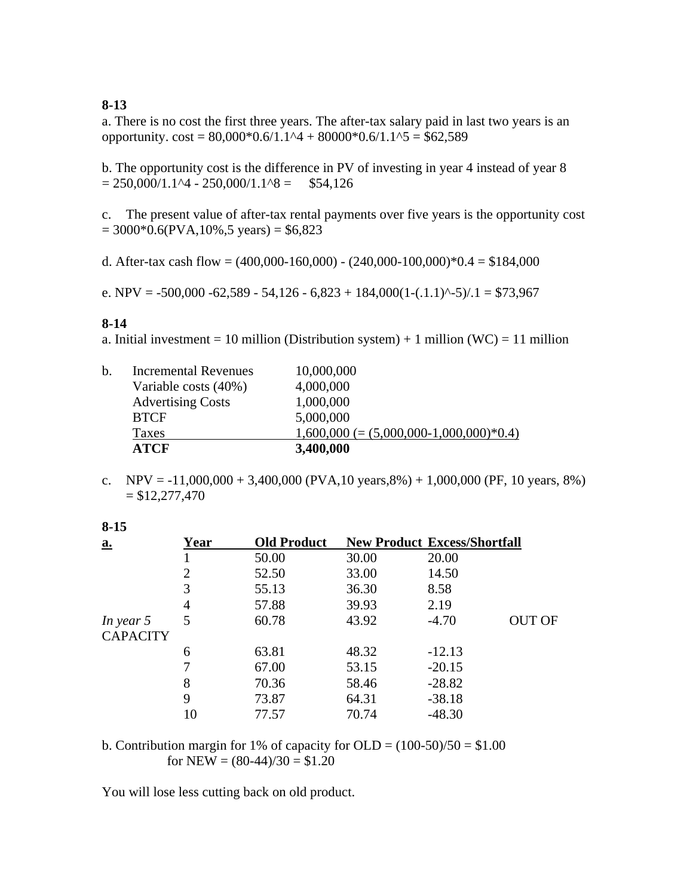## **8-13**

a. There is no cost the first three years. The after-tax salary paid in last two years is an opportunity.  $\text{cost} = 80,000*0.6/1.1^4 + 80000*0.6/1.1^5 = $62,589$ 

b. The opportunity cost is the difference in PV of investing in year 4 instead of year 8  $= 250,000/1.1\text{ A} - 250,000/1.1\text{ A} = $54,126$ 

c. The present value of after-tax rental payments over five years is the opportunity cost  $= 3000*0.6$ (PVA,10%,5 years)  $= $6,823$ 

d. After-tax cash flow =  $(400,000-160,000)$  -  $(240,000-100,000)*0.4 = $184,000$ 

e. NPV =  $-500,000 -62,589 - 54,126 - 6,823 + 184,000(1-(.1.1)^{2} - 5)/.1 = $73,967$ 

### **8-14**

a. Initial investment = 10 million (Distribution system) + 1 million (WC) = 11 million

|    | <b>ATCF</b>                 | 3,400,000                                 |
|----|-----------------------------|-------------------------------------------|
|    | <b>Taxes</b>                | $1,600,000 (= (5,000,000-1,000,000)*0.4)$ |
|    | <b>BTCF</b>                 | 5,000,000                                 |
|    | <b>Advertising Costs</b>    | 1,000,000                                 |
|    | Variable costs (40%)        | 4,000,000                                 |
| b. | <b>Incremental Revenues</b> | 10,000,000                                |

c. NPV =  $-11,000,000 + 3,400,000$  (PVA, 10 years, 8%) + 1,000,000 (PF, 10 years, 8%)  $= $12,277,470$ 

| $8 - 15$                   |      |                    |       |                                     |               |
|----------------------------|------|--------------------|-------|-------------------------------------|---------------|
| $\underline{\mathbf{a}}$ . | Year | <b>Old Product</b> |       | <b>New Product Excess/Shortfall</b> |               |
|                            |      | 50.00              | 30.00 | 20.00                               |               |
|                            | 2    | 52.50              | 33.00 | 14.50                               |               |
|                            | 3    | 55.13              | 36.30 | 8.58                                |               |
|                            | 4    | 57.88              | 39.93 | 2.19                                |               |
| In year 5                  | 5    | 60.78              | 43.92 | $-4.70$                             | <b>OUT OF</b> |
| <b>CAPACITY</b>            |      |                    |       |                                     |               |
|                            | 6    | 63.81              | 48.32 | $-12.13$                            |               |
|                            |      | 67.00              | 53.15 | $-20.15$                            |               |
|                            | 8    | 70.36              | 58.46 | $-28.82$                            |               |
|                            | 9    | 73.87              | 64.31 | $-38.18$                            |               |
|                            | 10   | 77.57              | 70.74 | $-48.30$                            |               |

b. Contribution margin for 1% of capacity for OLD =  $(100-50)/50 = $1.00$ for NEW =  $(80-44)/30 = $1.20$ 

You will lose less cutting back on old product.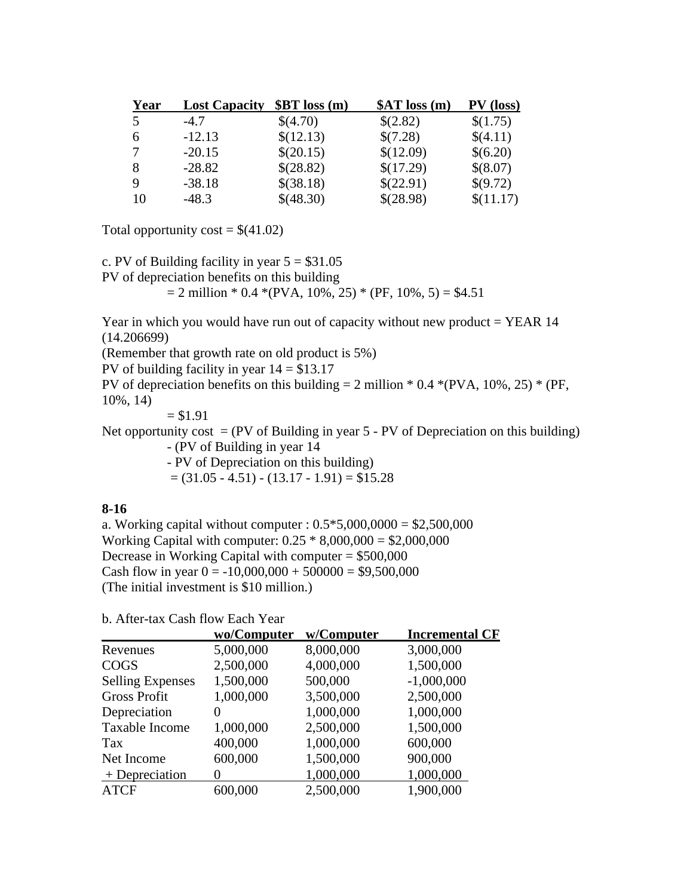| Year | <b>Lost Capacity</b> | \$BT loss(m) | \$AT loss(m) | PV (loss) |
|------|----------------------|--------------|--------------|-----------|
| 5    | $-4.7$               | \$(4.70)     | \$(2.82)     | \$(1.75)  |
| 6    | $-12.13$             | \$(12.13)    | \$(7.28)     | \$(4.11)  |
| 7    | $-20.15$             | \$(20.15)    | \$(12.09)    | \$(6.20)  |
| 8    | $-28.82$             | \$(28.82)    | \$(17.29)    | \$(8.07)  |
| 9    | $-38.18$             | \$(38.18)    | \$(22.91)    | \$(9.72)  |
| -10  | $-48.3$              | \$(48.30)    | \$(28.98)    | \$(11.17) |

Total opportunity  $\text{cost} = $(41.02)$ 

c. PV of Building facility in year  $5 = $31.05$ 

PV of depreciation benefits on this building

 $= 2$  million \* 0.4 \*(PVA, 10%, 25) \* (PF, 10%, 5) = \$4.51

Year in which you would have run out of capacity without new product  $=$  YEAR 14 (14.206699)

(Remember that growth rate on old product is 5%)

PV of building facility in year  $14 = $13.17$ 

PV of depreciation benefits on this building  $= 2$  million  $* 0.4 * (PVA, 10%, 25) * (PF, 10%)$ 10%, 14)

 $= $1.91$ 

Net opportunity cost  $= (PV \text{ of Building in year } 5 - PV \text{ of Depreciation on this building})$ 

- (PV of Building in year 14

- PV of Depreciation on this building)

 $= (31.05 - 4.51) - (13.17 - 1.91) = $15.28$ 

### **8-16**

a. Working capital without computer :  $0.5*5,000,0000 = $2,500,000$ Working Capital with computer: 0.25 \* 8,000,000 = \$2,000,000 Decrease in Working Capital with computer  $= $500,000$ Cash flow in year  $0 = -10,000,000 + 500000 = $9,500,000$ (The initial investment is \$10 million.)

b. After-tax Cash flow Each Year

|                         | wo/Computer | w/Computer | <b>Incremental CF</b> |
|-------------------------|-------------|------------|-----------------------|
| Revenues                | 5,000,000   | 8,000,000  | 3,000,000             |
| <b>COGS</b>             | 2,500,000   | 4,000,000  | 1,500,000             |
| <b>Selling Expenses</b> | 1,500,000   | 500,000    | $-1,000,000$          |
| <b>Gross Profit</b>     | 1,000,000   | 3,500,000  | 2,500,000             |
| Depreciation            | 0           | 1,000,000  | 1,000,000             |
| Taxable Income          | 1,000,000   | 2,500,000  | 1,500,000             |
| Tax                     | 400,000     | 1,000,000  | 600,000               |
| Net Income              | 600,000     | 1,500,000  | 900,000               |
| $+$ Depreciation        |             | 1,000,000  | 1,000,000             |
| <b>ATCF</b>             | 600,000     | 2,500,000  | 1,900,000             |